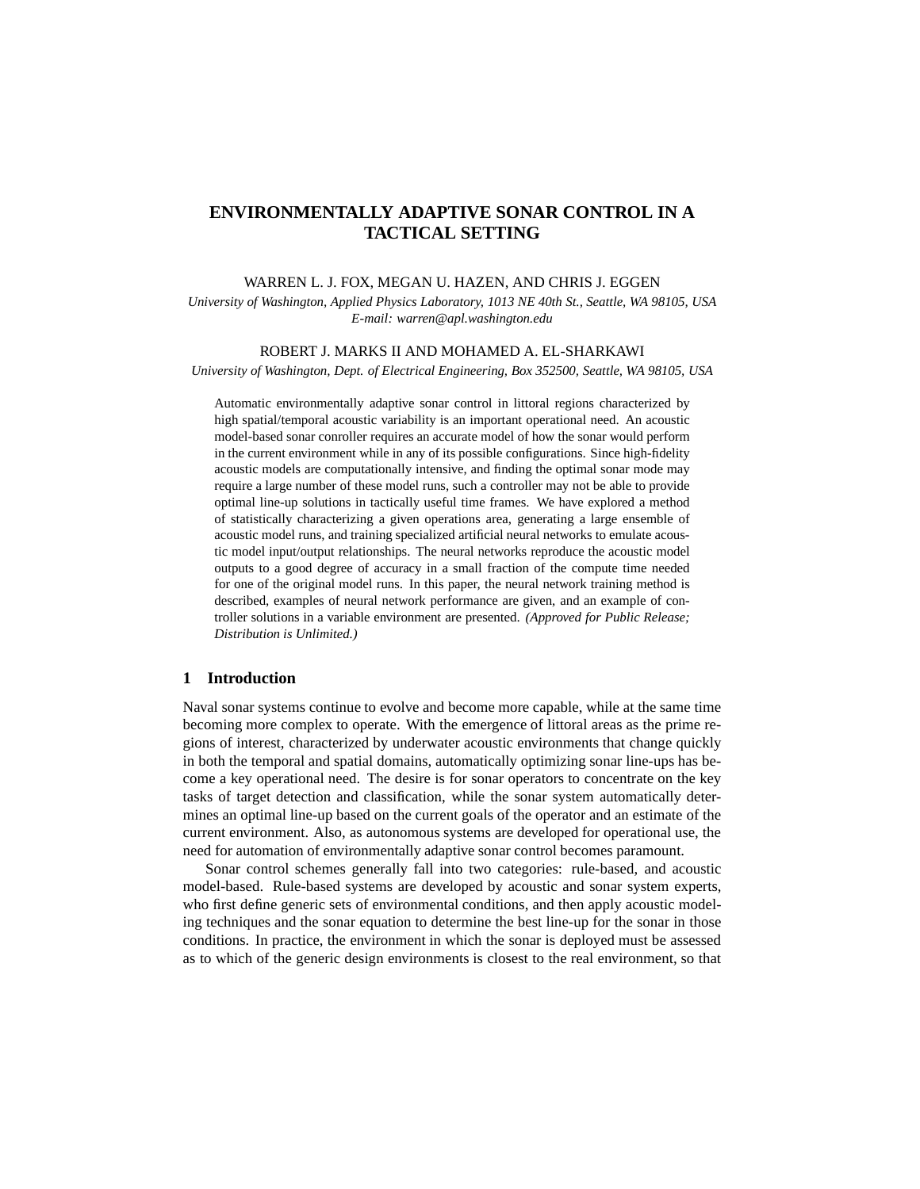# **ENVIRONMENTALLY ADAPTIVE SONAR CONTROL IN A TACTICAL SETTING**

# WARREN L. J. FOX, MEGAN U. HAZEN, AND CHRIS J. EGGEN

*University of Washington, Applied Physics Laboratory, 1013 NE 40th St., Seattle, WA 98105, USA E-mail: warren@apl.washington.edu*

## ROBERT J. MARKS II AND MOHAMED A. EL-SHARKAWI

*University of Washington, Dept. of Electrical Engineering, Box 352500, Seattle, WA 98105, USA*

Automatic environmentally adaptive sonar control in littoral regions characterized by high spatial/temporal acoustic variability is an important operational need. An acoustic model-based sonar conroller requires an accurate model of how the sonar would perform in the current environment while in any of its possible configurations. Since high-fidelity acoustic models are computationally intensive, and finding the optimal sonar mode may require a large number of these model runs, such a controller may not be able to provide optimal line-up solutions in tactically useful time frames. We have explored a method of statistically characterizing a given operations area, generating a large ensemble of acoustic model runs, and training specialized artificial neural networks to emulate acoustic model input/output relationships. The neural networks reproduce the acoustic model outputs to a good degree of accuracy in a small fraction of the compute time needed for one of the original model runs. In this paper, the neural network training method is described, examples of neural network performance are given, and an example of controller solutions in a variable environment are presented. *(Approved for Public Release; Distribution is Unlimited.)*

# **1 Introduction**

Naval sonar systems continue to evolve and become more capable, while at the same time becoming more complex to operate. With the emergence of littoral areas as the prime regions of interest, characterized by underwater acoustic environments that change quickly in both the temporal and spatial domains, automatically optimizing sonar line-ups has become a key operational need. The desire is for sonar operators to concentrate on the key tasks of target detection and classification, while the sonar system automatically determines an optimal line-up based on the current goals of the operator and an estimate of the current environment. Also, as autonomous systems are developed for operational use, the need for automation of environmentally adaptive sonar control becomes paramount.

Sonar control schemes generally fall into two categories: rule-based, and acoustic model-based. Rule-based systems are developed by acoustic and sonar system experts, who first define generic sets of environmental conditions, and then apply acoustic modeling techniques and the sonar equation to determine the best line-up for the sonar in those conditions. In practice, the environment in which the sonar is deployed must be assessed as to which of the generic design environments is closest to the real environment, so that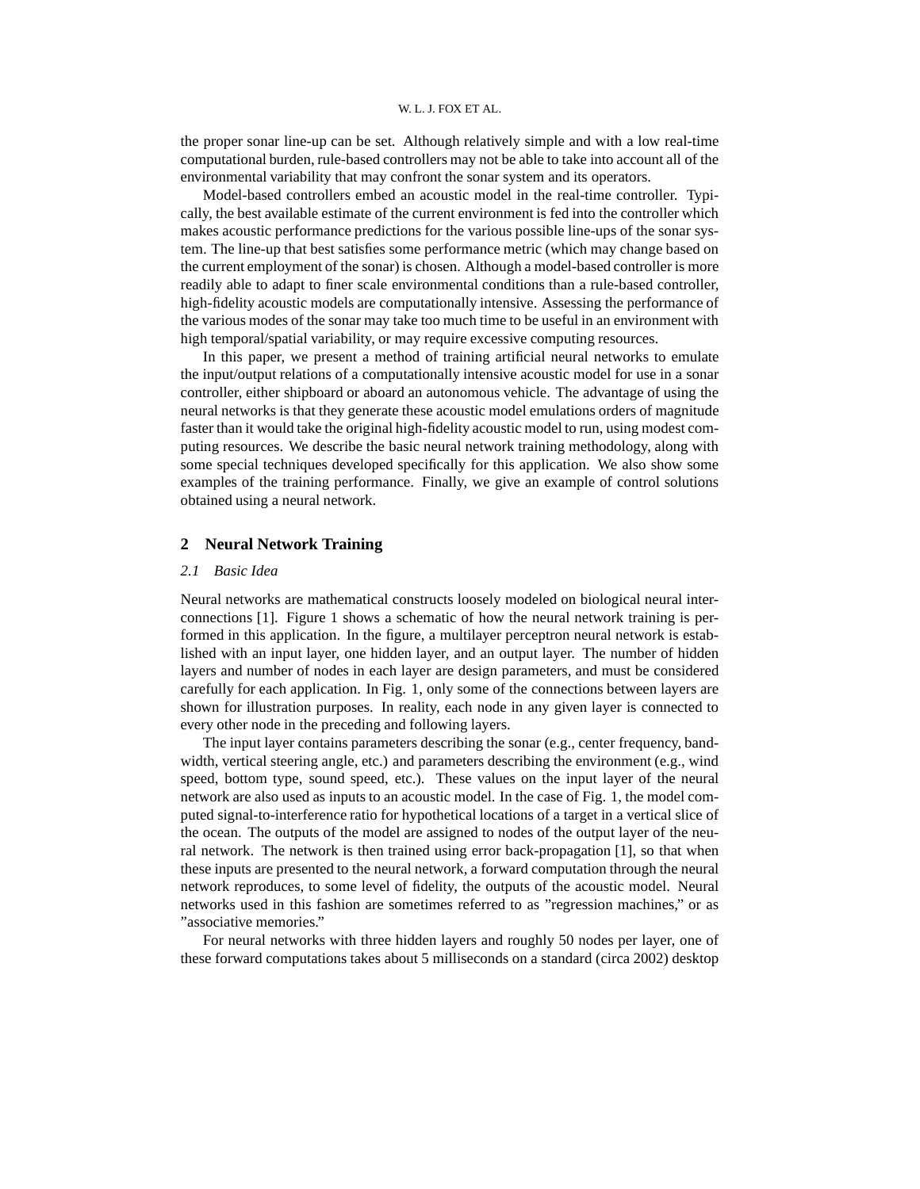the proper sonar line-up can be set. Although relatively simple and with a low real-time computational burden, rule-based controllers may not be able to take into account all of the environmental variability that may confront the sonar system and its operators.

Model-based controllers embed an acoustic model in the real-time controller. Typically, the best available estimate of the current environment is fed into the controller which makes acoustic performance predictions for the various possible line-ups of the sonar system. The line-up that best satisfies some performance metric (which may change based on the current employment of the sonar) is chosen. Although a model-based controller is more readily able to adapt to finer scale environmental conditions than a rule-based controller, high-fidelity acoustic models are computationally intensive. Assessing the performance of the various modes of the sonar may take too much time to be useful in an environment with high temporal/spatial variability, or may require excessive computing resources.

In this paper, we present a method of training artificial neural networks to emulate the input/output relations of a computationally intensive acoustic model for use in a sonar controller, either shipboard or aboard an autonomous vehicle. The advantage of using the neural networks is that they generate these acoustic model emulations orders of magnitude faster than it would take the original high-fidelity acoustic model to run, using modest computing resources. We describe the basic neural network training methodology, along with some special techniques developed specifically for this application. We also show some examples of the training performance. Finally, we give an example of control solutions obtained using a neural network.

# **2 Neural Network Training**

# *2.1 Basic Idea*

Neural networks are mathematical constructs loosely modeled on biological neural interconnections [1]. Figure 1 shows a schematic of how the neural network training is performed in this application. In the figure, a multilayer perceptron neural network is established with an input layer, one hidden layer, and an output layer. The number of hidden layers and number of nodes in each layer are design parameters, and must be considered carefully for each application. In Fig. 1, only some of the connections between layers are shown for illustration purposes. In reality, each node in any given layer is connected to every other node in the preceding and following layers.

The input layer contains parameters describing the sonar (e.g., center frequency, bandwidth, vertical steering angle, etc.) and parameters describing the environment (e.g., wind speed, bottom type, sound speed, etc.). These values on the input layer of the neural network are also used as inputs to an acoustic model. In the case of Fig. 1, the model computed signal-to-interference ratio for hypothetical locations of a target in a vertical slice of the ocean. The outputs of the model are assigned to nodes of the output layer of the neural network. The network is then trained using error back-propagation [1], so that when these inputs are presented to the neural network, a forward computation through the neural network reproduces, to some level of fidelity, the outputs of the acoustic model. Neural networks used in this fashion are sometimes referred to as "regression machines," or as "associative memories."

For neural networks with three hidden layers and roughly 50 nodes per layer, one of these forward computations takes about 5 milliseconds on a standard (circa 2002) desktop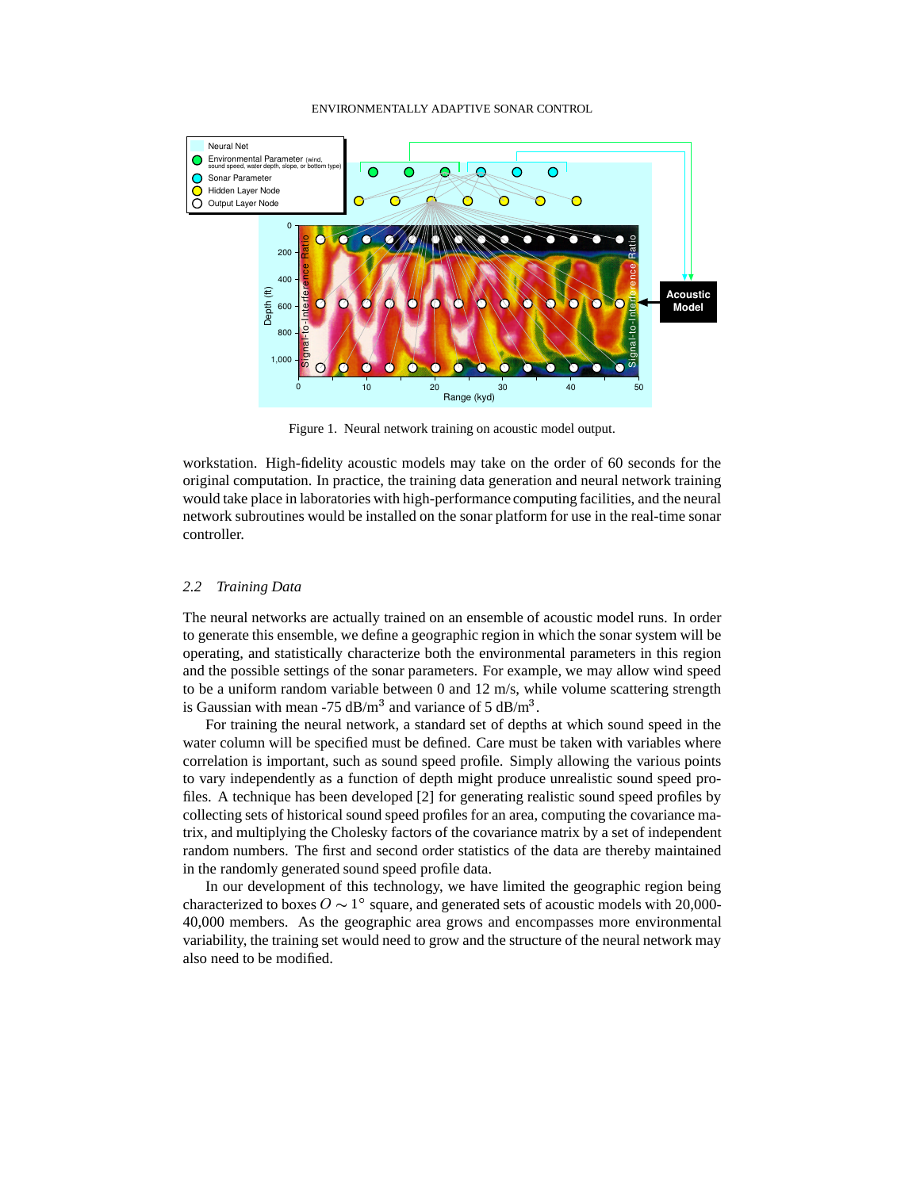#### ENVIRONMENTALLY ADAPTIVE SONAR CONTROL



Figure 1. Neural network training on acoustic model output.

workstation. High-fidelity acoustic models may take on the order of 60 seconds for the original computation. In practice, the training data generation and neural network training would take place in laboratories with high-performance computing facilities, and the neural network subroutines would be installed on the sonar platform for use in the real-time sonar controller.

# *2.2 Training Data*

The neural networks are actually trained on an ensemble of acoustic model runs. In order to generate this ensemble, we define a geographic region in which the sonar system will be operating, and statistically characterize both the environmental parameters in this region and the possible settings of the sonar parameters. For example, we may allow wind speed to be a uniform random variable between 0 and 12 m/s, while volume scattering strength is Gaussian with mean -75  $dB/m^3$  and variance of 5  $dB/m^3$ .

For training the neural network, a standard set of depths at which sound speed in the water column will be specified must be defined. Care must be taken with variables where correlation is important, such as sound speed profile. Simply allowing the various points to vary independently as a function of depth might produce unrealistic sound speed profiles. A technique has been developed [2] for generating realistic sound speed profiles by collecting sets of historical sound speed profiles for an area, computing the covariance matrix, and multiplying the Cholesky factors of the covariance matrix by a set of independent random numbers. The first and second order statistics of the data are thereby maintained in the randomly generated sound speed profile data.

In our development of this technology, we have limited the geographic region being characterized to boxes  $O \sim 1^{\circ}$  square, and generated sets of acoustic models with 20,000-40,000 members. As the geographic area grows and encompasses more environmental variability, the training set would need to grow and the structure of the neural network may also need to be modified.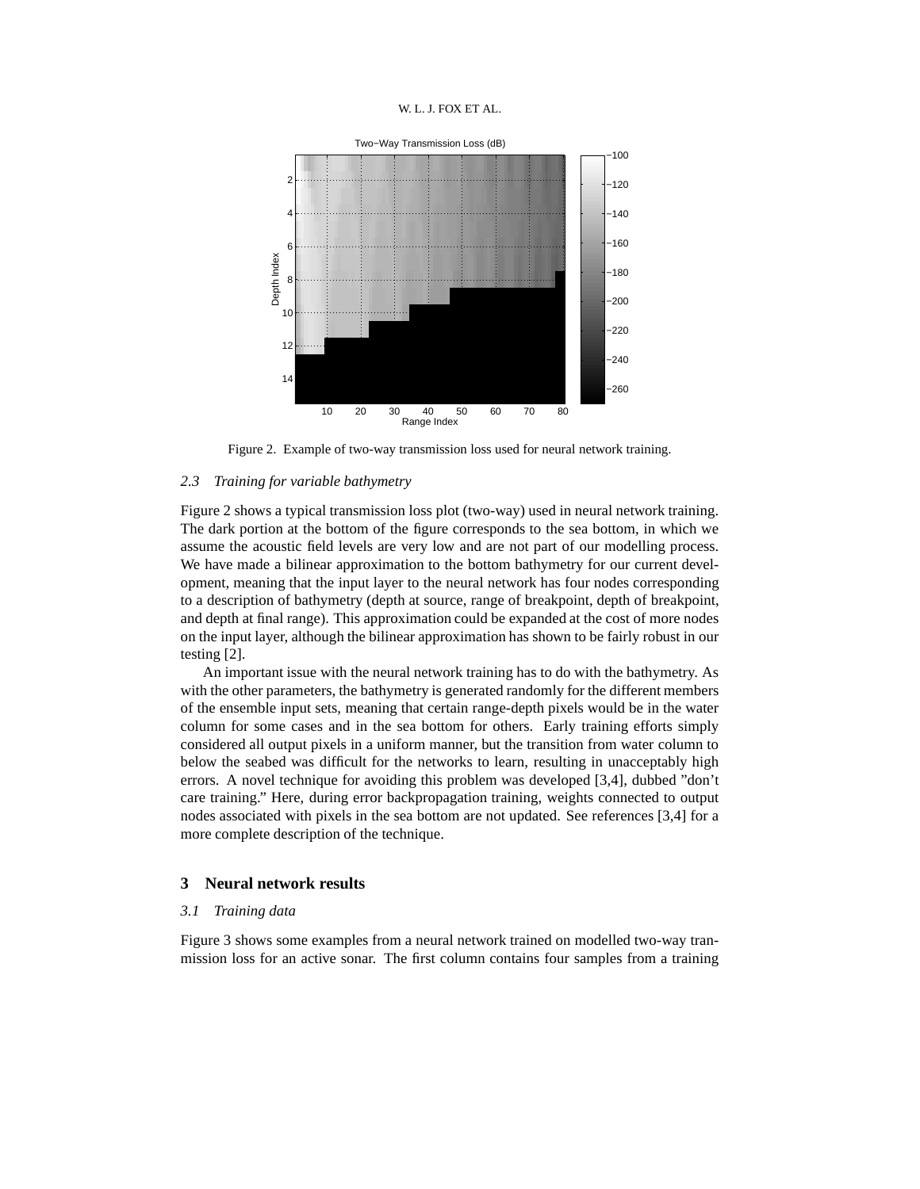

Figure 2. Example of two-way transmission loss used for neural network training.

### *2.3 Training for variable bathymetry*

Figure 2 shows a typical transmission loss plot (two-way) used in neural network training. The dark portion at the bottom of the figure corresponds to the sea bottom, in which we assume the acoustic field levels are very low and are not part of our modelling process. We have made a bilinear approximation to the bottom bathymetry for our current development, meaning that the input layer to the neural network has four nodes corresponding to a description of bathymetry (depth at source, range of breakpoint, depth of breakpoint, and depth at final range). This approximation could be expanded at the cost of more nodes on the input layer, although the bilinear approximation has shown to be fairly robust in our testing [2].

An important issue with the neural network training has to do with the bathymetry. As with the other parameters, the bathymetry is generated randomly for the different members of the ensemble input sets, meaning that certain range-depth pixels would be in the water column for some cases and in the sea bottom for others. Early training efforts simply considered all output pixels in a uniform manner, but the transition from water column to below the seabed was difficult for the networks to learn, resulting in unacceptably high errors. A novel technique for avoiding this problem was developed [3,4], dubbed "don't care training." Here, during error backpropagation training, weights connected to output nodes associated with pixels in the sea bottom are not updated. See references [3,4] for a more complete description of the technique.

# **3 Neural network results**

### *3.1 Training data*

Figure 3 shows some examples from a neural network trained on modelled two-way tranmission loss for an active sonar. The first column contains four samples from a training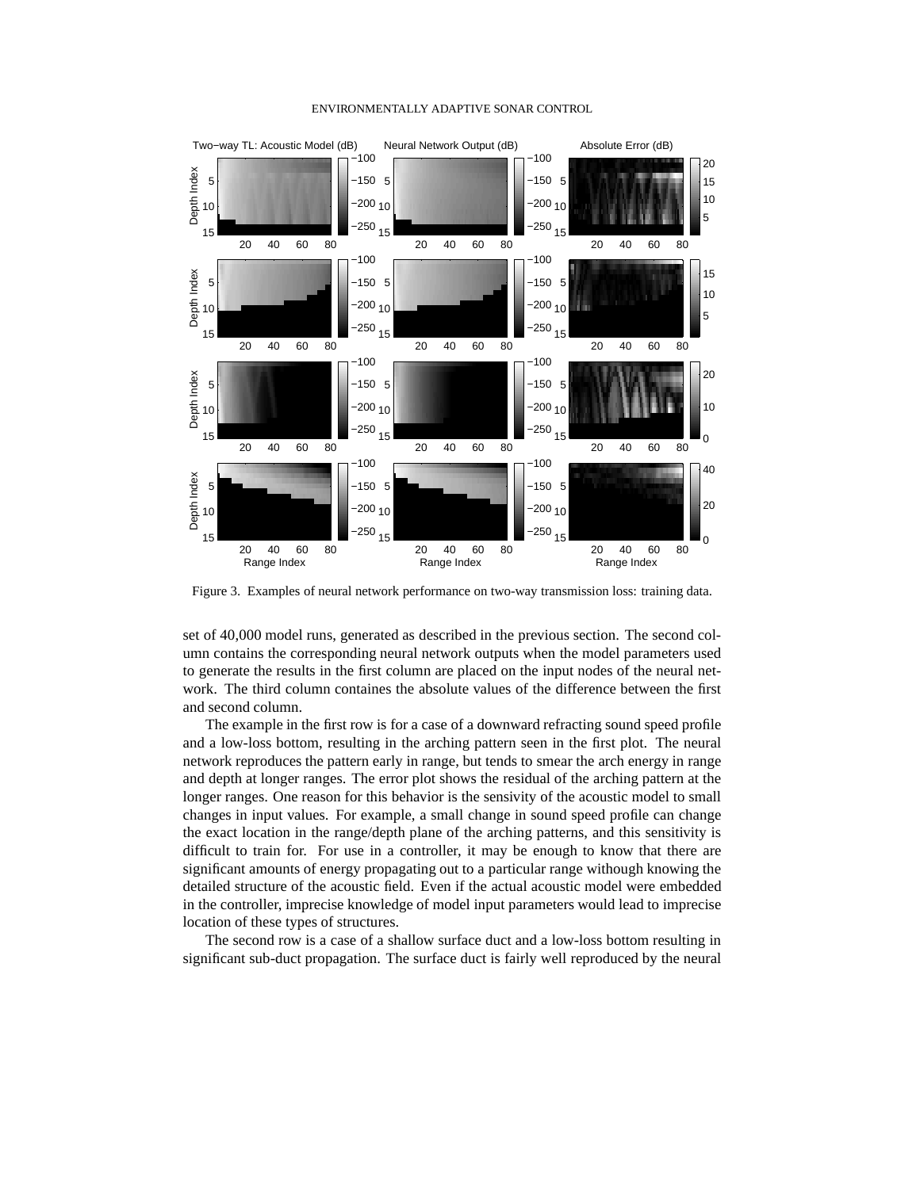



Figure 3. Examples of neural network performance on two-way transmission loss: training data.

set of 40,000 model runs, generated as described in the previous section. The second column contains the corresponding neural network outputs when the model parameters used to generate the results in the first column are placed on the input nodes of the neural network. The third column containes the absolute values of the difference between the first and second column.

The example in the first row is for a case of a downward refracting sound speed profile and a low-loss bottom, resulting in the arching pattern seen in the first plot. The neural network reproduces the pattern early in range, but tends to smear the arch energy in range and depth at longer ranges. The error plot shows the residual of the arching pattern at the longer ranges. One reason for this behavior is the sensivity of the acoustic model to small changes in input values. For example, a small change in sound speed profile can change the exact location in the range/depth plane of the arching patterns, and this sensitivity is difficult to train for. For use in a controller, it may be enough to know that there are significant amounts of energy propagating out to a particular range withough knowing the detailed structure of the acoustic field. Even if the actual acoustic model were embedded in the controller, imprecise knowledge of model input parameters would lead to imprecise location of these types of structures.

The second row is a case of a shallow surface duct and a low-loss bottom resulting in significant sub-duct propagation. The surface duct is fairly well reproduced by the neural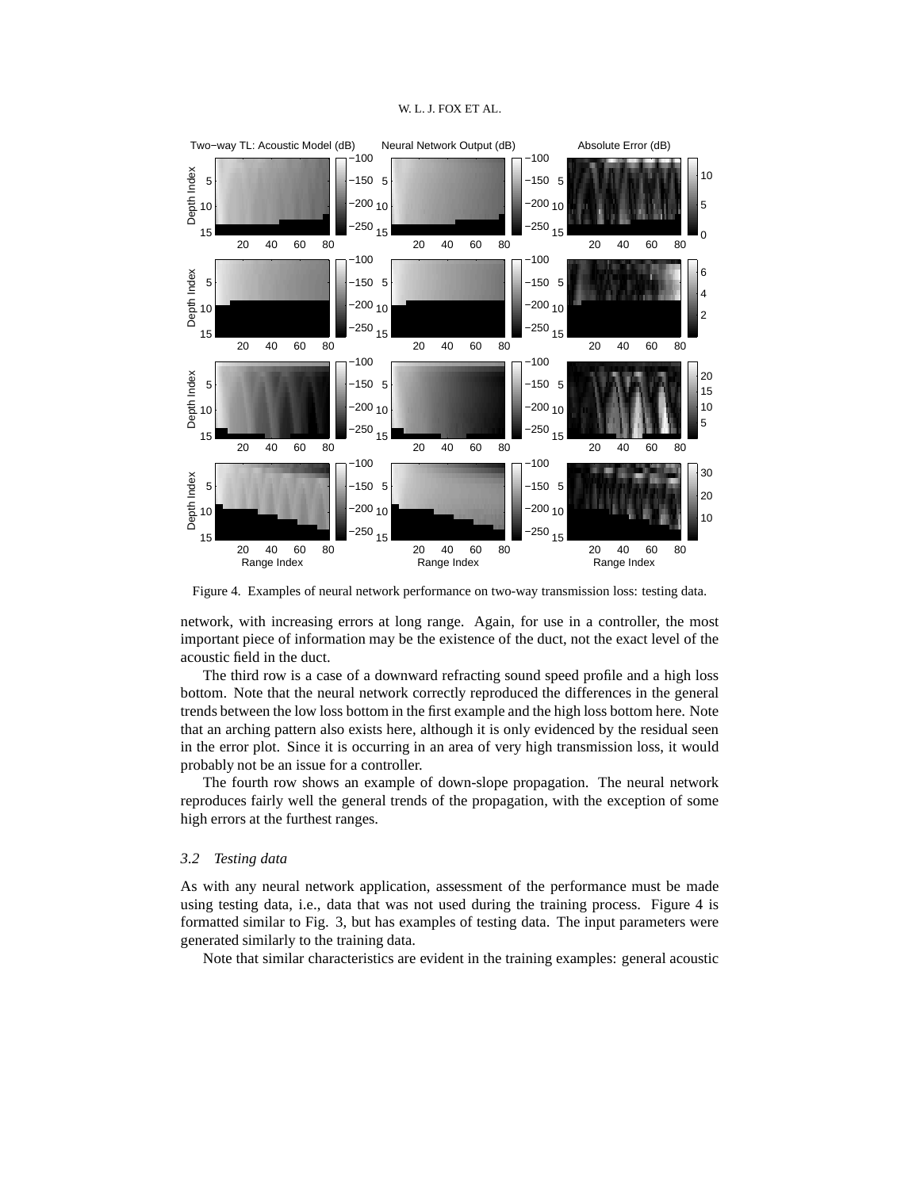

Figure 4. Examples of neural network performance on two-way transmission loss: testing data.

network, with increasing errors at long range. Again, for use in a controller, the most important piece of information may be the existence of the duct, not the exact level of the acoustic field in the duct.

The third row is a case of a downward refracting sound speed profile and a high loss bottom. Note that the neural network correctly reproduced the differences in the general trends between the low loss bottom in the first example and the high loss bottom here. Note that an arching pattern also exists here, although it is only evidenced by the residual seen in the error plot. Since it is occurring in an area of very high transmission loss, it would probably not be an issue for a controller.

The fourth row shows an example of down-slope propagation. The neural network reproduces fairly well the general trends of the propagation, with the exception of some high errors at the furthest ranges.

# *3.2 Testing data*

As with any neural network application, assessment of the performance must be made using testing data, i.e., data that was not used during the training process. Figure 4 is formatted similar to Fig. 3, but has examples of testing data. The input parameters were generated similarly to the training data.

Note that similar characteristics are evident in the training examples: general acoustic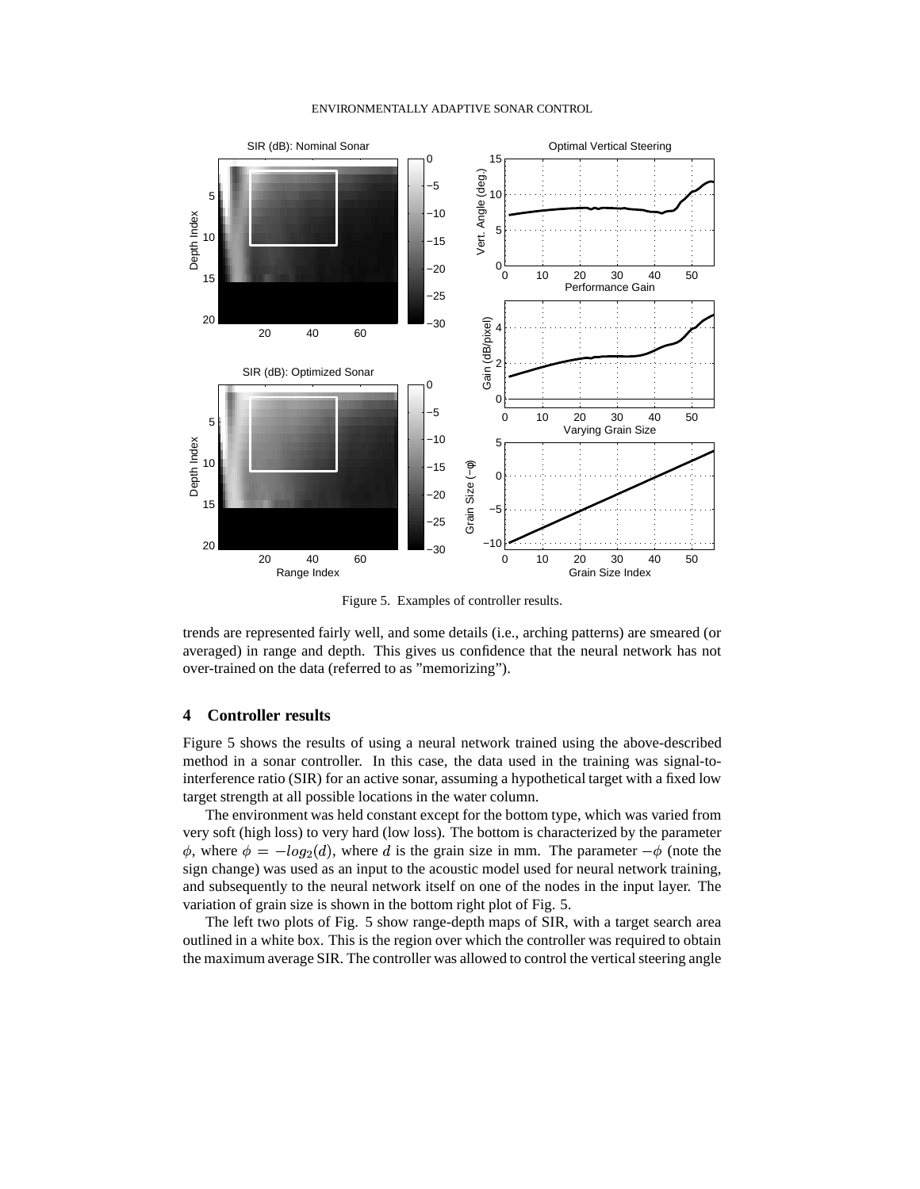#### ENVIRONMENTALLY ADAPTIVE SONAR CONTROL



Figure 5. Examples of controller results.

trends are represented fairly well, and some details (i.e., arching patterns) are smeared (or averaged) in range and depth. This gives us confidence that the neural network has not over-trained on the data (referred to as "memorizing").

# **4 Controller results**

Figure 5 shows the results of using a neural network trained using the above-described method in a sonar controller. In this case, the data used in the training was signal-tointerference ratio (SIR) for an active sonar, assuming a hypothetical target with a fixed low target strength at all possible locations in the water column.

The environment was held constant except for the bottom type, which was varied from very soft (high loss) to very hard (low loss). The bottom is characterized by the parameter  $\phi$ , where  $\phi = -\log_2(d)$ , where d is the grain size in mm. The parameter  $-\phi$  (note the sign change) was used as an input to the acoustic model used for neural network training, and subsequently to the neural network itself on one of the nodes in the input layer. The variation of grain size is shown in the bottom right plot of Fig. 5.

The left two plots of Fig. 5 show range-depth maps of SIR, with a target search area outlined in a white box. This is the region over which the controller was required to obtain the maximum average SIR. The controller was allowed to control the vertical steering angle